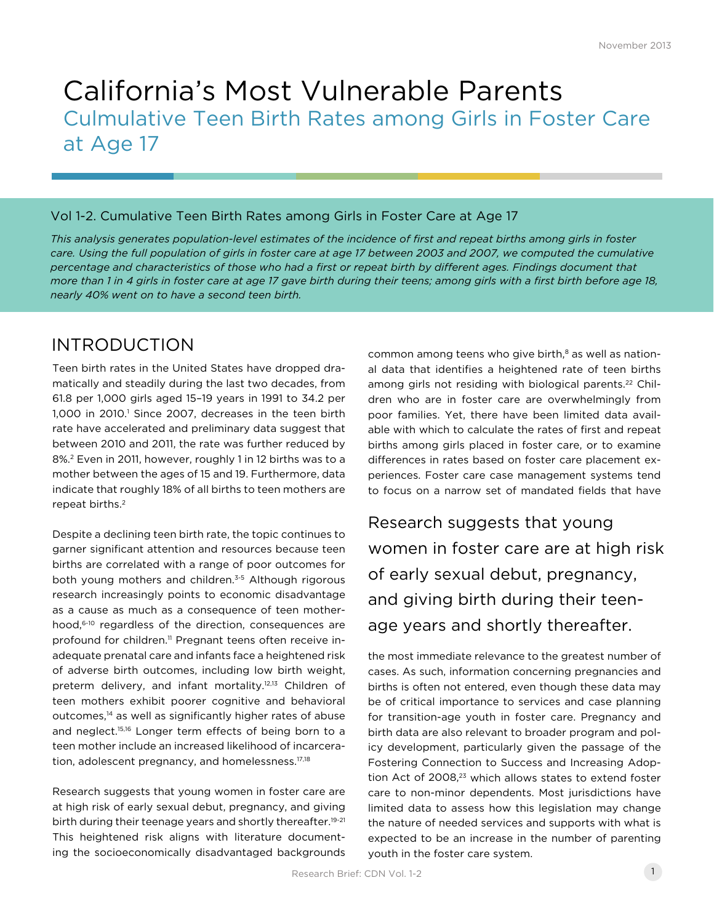# California's Most Vulnerable Parents Culmulative Teen Birth Rates among Girls in Foster Care at Age 17

### Vol 1-2. Cumulative Teen Birth Rates among Girls in Foster Care at Age 17

*This analysis generates population-level estimates of the incidence of first and repeat births among girls in foster*  care. Using the full population of girls in foster care at age 17 between 2003 and 2007, we computed the cumulative *percentage and characteristics of those who had a first or repeat birth by different ages. Findings document that more than 1 in 4 girls in foster care at age 17 gave birth during their teens; among girls with a first birth before age 18, nearly 40% went on to have a second teen birth.* 

# INTRODUCTION

Teen birth rates in the United States have dropped dramatically and steadily during the last two decades, from 61.8 per 1,000 girls aged 15–19 years in 1991 to 34.2 per 1,000 in 2010.<sup>1</sup> Since 2007, decreases in the teen birth rate have accelerated and preliminary data suggest that between 2010 and 2011, the rate was further reduced by 8%.2 Even in 2011, however, roughly 1 in 12 births was to a mother between the ages of 15 and 19. Furthermore, data indicate that roughly 18% of all births to teen mothers are repeat births.2

Despite a declining teen birth rate, the topic continues to garner significant attention and resources because teen births are correlated with a range of poor outcomes for both young mothers and children.<sup>3-5</sup> Although rigorous research increasingly points to economic disadvantage as a cause as much as a consequence of teen motherhood,<sup>6-10</sup> regardless of the direction, consequences are profound for children.<sup>11</sup> Pregnant teens often receive inadequate prenatal care and infants face a heightened risk of adverse birth outcomes, including low birth weight, preterm delivery, and infant mortality.<sup>12,13</sup> Children of teen mothers exhibit poorer cognitive and behavioral outcomes,<sup>14</sup> as well as significantly higher rates of abuse and neglect.<sup>15,16</sup> Longer term effects of being born to a teen mother include an increased likelihood of incarceration, adolescent pregnancy, and homelessness.<sup>17,18</sup>

Research suggests that young women in foster care are at high risk of early sexual debut, pregnancy, and giving birth during their teenage years and shortly thereafter.<sup>19-21</sup> This heightened risk aligns with literature documenting the socioeconomically disadvantaged backgrounds common among teens who give birth, $8$  as well as national data that identifies a heightened rate of teen births among girls not residing with biological parents.<sup>22</sup> Children who are in foster care are overwhelmingly from poor families. Yet, there have been limited data available with which to calculate the rates of first and repeat births among girls placed in foster care, or to examine differences in rates based on foster care placement experiences. Foster care case management systems tend to focus on a narrow set of mandated fields that have

Research suggests that young women in foster care are at high risk of early sexual debut, pregnancy, and giving birth during their teenage years and shortly thereafter.

the most immediate relevance to the greatest number of cases. As such, information concerning pregnancies and births is often not entered, even though these data may be of critical importance to services and case planning for transition-age youth in foster care. Pregnancy and birth data are also relevant to broader program and policy development, particularly given the passage of the Fostering Connection to Success and Increasing Adoption Act of 2008,<sup>23</sup> which allows states to extend foster care to non-minor dependents. Most jurisdictions have limited data to assess how this legislation may change the nature of needed services and supports with what is expected to be an increase in the number of parenting youth in the foster care system.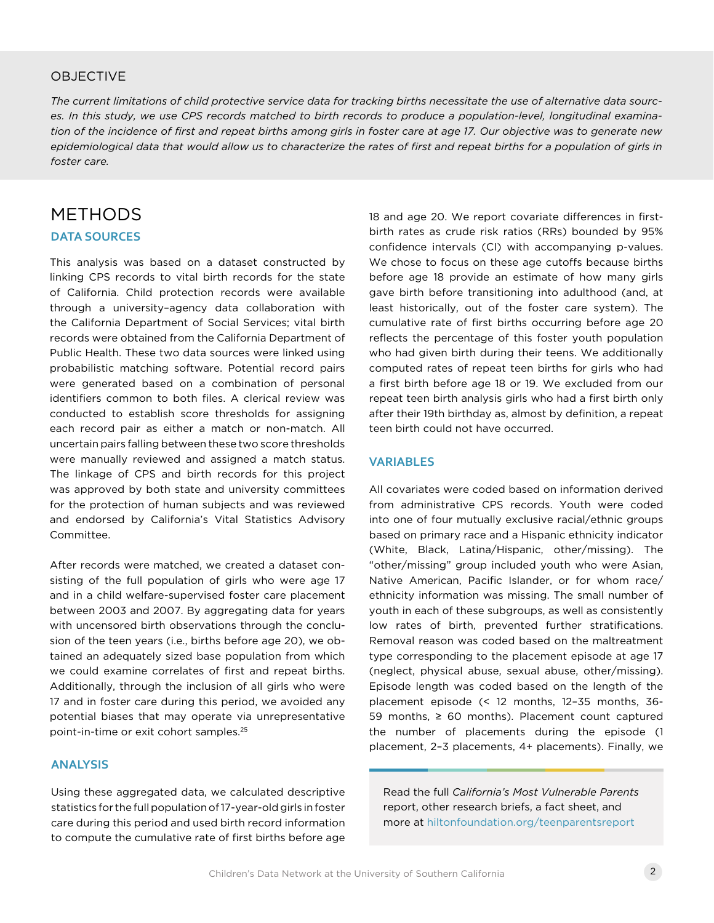### **OBJECTIVE**

*The current limitations of child protective service data for tracking births necessitate the use of alternative data sources. In this study, we use CPS records matched to birth records to produce a population-level, longitudinal examination of the incidence of first and repeat births among girls in foster care at age 17. Our objective was to generate new epidemiological data that would allow us to characterize the rates of first and repeat births for a population of girls in foster care.*

## METHODS

### **DATA SOURCES**

This analysis was based on a dataset constructed by linking CPS records to vital birth records for the state of California. Child protection records were available through a university–agency data collaboration with the California Department of Social Services; vital birth records were obtained from the California Department of Public Health. These two data sources were linked using probabilistic matching software. Potential record pairs were generated based on a combination of personal identifiers common to both files. A clerical review was conducted to establish score thresholds for assigning each record pair as either a match or non-match. All uncertain pairs falling between these two score thresholds were manually reviewed and assigned a match status. The linkage of CPS and birth records for this project was approved by both state and university committees for the protection of human subjects and was reviewed and endorsed by California's Vital Statistics Advisory Committee.

After records were matched, we created a dataset consisting of the full population of girls who were age 17 and in a child welfare-supervised foster care placement between 2003 and 2007. By aggregating data for years with uncensored birth observations through the conclusion of the teen years (i.e., births before age 20), we obtained an adequately sized base population from which we could examine correlates of first and repeat births. Additionally, through the inclusion of all girls who were 17 and in foster care during this period, we avoided any potential biases that may operate via unrepresentative point-in-time or exit cohort samples.25

### **ANALYSIS**

Using these aggregated data, we calculated descriptive statistics for the full population of 17-year-old girls in foster care during this period and used birth record information to compute the cumulative rate of first births before age

18 and age 20. We report covariate differences in firstbirth rates as crude risk ratios (RRs) bounded by 95% confidence intervals (CI) with accompanying p-values. We chose to focus on these age cutoffs because births before age 18 provide an estimate of how many girls gave birth before transitioning into adulthood (and, at least historically, out of the foster care system). The cumulative rate of first births occurring before age 20 reflects the percentage of this foster youth population who had given birth during their teens. We additionally computed rates of repeat teen births for girls who had a first birth before age 18 or 19. We excluded from our repeat teen birth analysis girls who had a first birth only after their 19th birthday as, almost by definition, a repeat teen birth could not have occurred.

### **VARIABLES**

All covariates were coded based on information derived from administrative CPS records. Youth were coded into one of four mutually exclusive racial/ethnic groups based on primary race and a Hispanic ethnicity indicator (White, Black, Latina/Hispanic, other/missing). The "other/missing" group included youth who were Asian, Native American, Pacific Islander, or for whom race/ ethnicity information was missing. The small number of youth in each of these subgroups, as well as consistently low rates of birth, prevented further stratifications. Removal reason was coded based on the maltreatment type corresponding to the placement episode at age 17 (neglect, physical abuse, sexual abuse, other/missing). Episode length was coded based on the length of the placement episode (< 12 months, 12–35 months, 36- 59 months, ≥ 60 months). Placement count captured the number of placements during the episode (1 placement, 2–3 placements, 4+ placements). Finally, we

Read the full *California's Most Vulnerable Parents*  report, other research briefs, a fact sheet, and more at [hiltonfoundation.org/teenparentsreport](http://www.hiltonfoundation.org/teenparentsreport)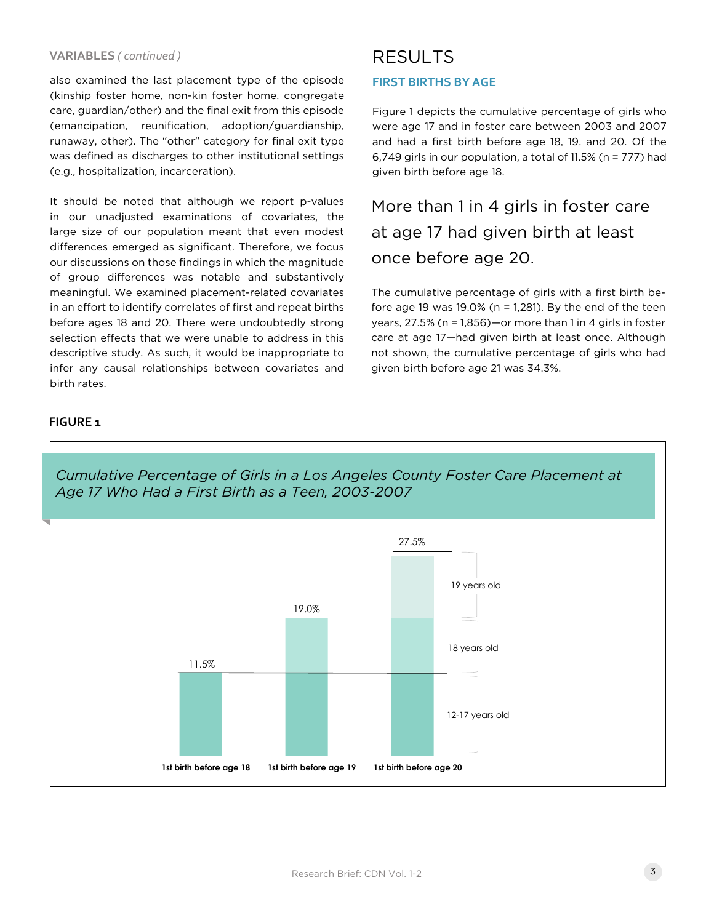#### **VARIABLES** *( continued )*

also examined the last placement type of the episode (kinship foster home, non-kin foster home, congregate care, guardian/other) and the final exit from this episode (emancipation, reunification, adoption/guardianship, runaway, other). The "other" category for final exit type was defined as discharges to other institutional settings (e.g., hospitalization, incarceration).

It should be noted that although we report p-values in our unadjusted examinations of covariates, the large size of our population meant that even modest differences emerged as significant. Therefore, we focus our discussions on those findings in which the magnitude of group differences was notable and substantively meaningful. We examined placement-related covariates in an effort to identify correlates of first and repeat births before ages 18 and 20. There were undoubtedly strong selection effects that we were unable to address in this descriptive study. As such, it would be inappropriate to infer any causal relationships between covariates and birth rates.

# RESULTS

### **FIRST BIRTHS BY AGE**

Figure 1 depicts the cumulative percentage of girls who were age 17 and in foster care between 2003 and 2007 and had a first birth before age 18, 19, and 20. Of the 6,749 girls in our population, a total of 11.5% (n = 777) had given birth before age 18.

More than 1 in 4 girls in foster care at age 17 had given birth at least once before age 20.

The cumulative percentage of girls with a first birth before age 19 was  $19.0\%$  (n = 1,281). By the end of the teen years, 27.5% (n = 1,856)—or more than 1 in 4 girls in foster care at age 17—had given birth at least once. Although not shown, the cumulative percentage of girls who had given birth before age 21 was 34.3%.

### **FIGURE 1**



*Cumulative Percentage of Girls in a Los Angeles County Foster Care Placement at Age 17 Who Had a First Birth as a Teen, 2003-2007*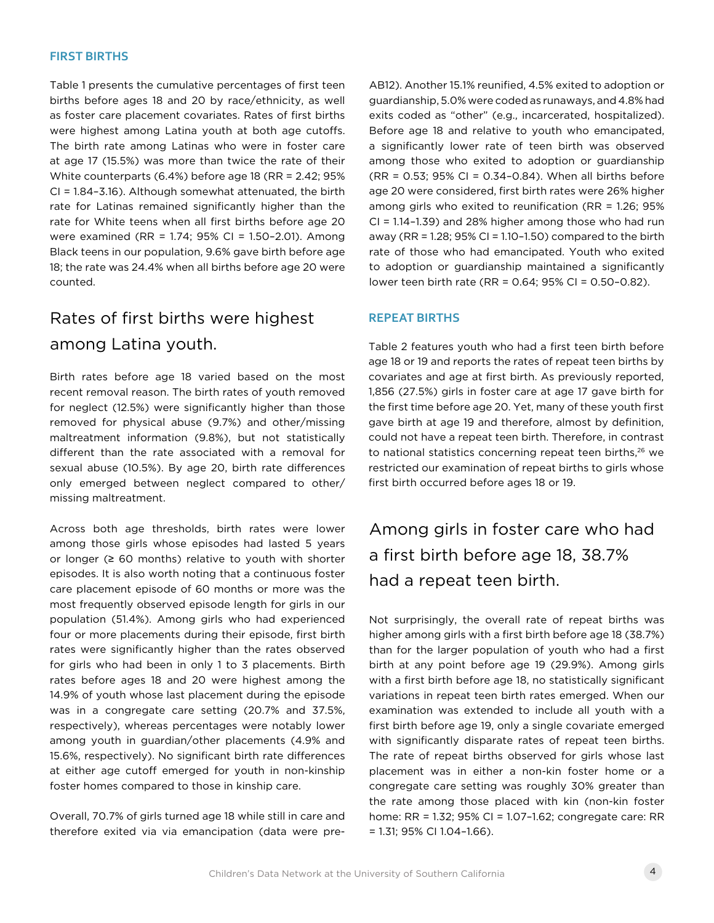#### **FIRST BIRTHS**

Table 1 presents the cumulative percentages of first teen births before ages 18 and 20 by race/ethnicity, as well as foster care placement covariates. Rates of first births were highest among Latina youth at both age cutoffs. The birth rate among Latinas who were in foster care at age 17 (15.5%) was more than twice the rate of their White counterparts (6.4%) before age 18 (RR = 2.42; 95% CI = 1.84–3.16). Although somewhat attenuated, the birth rate for Latinas remained significantly higher than the rate for White teens when all first births before age 20 were examined (RR = 1.74; 95% CI = 1.50–2.01). Among Black teens in our population, 9.6% gave birth before age 18; the rate was 24.4% when all births before age 20 were counted.

# Rates of first births were highest among Latina youth.

Birth rates before age 18 varied based on the most recent removal reason. The birth rates of youth removed for neglect (12.5%) were significantly higher than those removed for physical abuse (9.7%) and other/missing maltreatment information (9.8%), but not statistically different than the rate associated with a removal for sexual abuse (10.5%). By age 20, birth rate differences only emerged between neglect compared to other/ missing maltreatment.

Across both age thresholds, birth rates were lower among those girls whose episodes had lasted 5 years or longer  $(≥ 60$  months) relative to youth with shorter episodes. It is also worth noting that a continuous foster care placement episode of 60 months or more was the most frequently observed episode length for girls in our population (51.4%). Among girls who had experienced four or more placements during their episode, first birth rates were significantly higher than the rates observed for girls who had been in only 1 to 3 placements. Birth rates before ages 18 and 20 were highest among the 14.9% of youth whose last placement during the episode was in a congregate care setting (20.7% and 37.5%, respectively), whereas percentages were notably lower among youth in guardian/other placements (4.9% and 15.6%, respectively). No significant birth rate differences at either age cutoff emerged for youth in non-kinship foster homes compared to those in kinship care.

Overall, 70.7% of girls turned age 18 while still in care and therefore exited via via emancipation (data were preAB12). Another 15.1% reunified, 4.5% exited to adoption or guardianship, 5.0% were coded as runaways, and 4.8% had exits coded as "other" (e.g., incarcerated, hospitalized). Before age 18 and relative to youth who emancipated, a significantly lower rate of teen birth was observed among those who exited to adoption or guardianship (RR = 0.53; 95% CI = 0.34–0.84). When all births before age 20 were considered, first birth rates were 26% higher among girls who exited to reunification (RR = 1.26; 95% CI = 1.14–1.39) and 28% higher among those who had run away (RR = 1.28; 95% CI = 1.10–1.50) compared to the birth rate of those who had emancipated. Youth who exited to adoption or guardianship maintained a significantly lower teen birth rate (RR = 0.64; 95% CI = 0.50–0.82).

### **REPEAT BIRTHS**

Table 2 features youth who had a first teen birth before age 18 or 19 and reports the rates of repeat teen births by covariates and age at first birth. As previously reported, 1,856 (27.5%) girls in foster care at age 17 gave birth for the first time before age 20. Yet, many of these youth first gave birth at age 19 and therefore, almost by definition, could not have a repeat teen birth. Therefore, in contrast to national statistics concerning repeat teen births,<sup>26</sup> we restricted our examination of repeat births to girls whose first birth occurred before ages 18 or 19.

# Among girls in foster care who had a first birth before age 18, 38.7% had a repeat teen birth.

Not surprisingly, the overall rate of repeat births was higher among girls with a first birth before age 18 (38.7%) than for the larger population of youth who had a first birth at any point before age 19 (29.9%). Among girls with a first birth before age 18, no statistically significant variations in repeat teen birth rates emerged. When our examination was extended to include all youth with a first birth before age 19, only a single covariate emerged with significantly disparate rates of repeat teen births. The rate of repeat births observed for girls whose last placement was in either a non-kin foster home or a congregate care setting was roughly 30% greater than the rate among those placed with kin (non-kin foster home: RR = 1.32; 95% CI = 1.07–1.62; congregate care: RR = 1.31; 95% CI 1.04–1.66).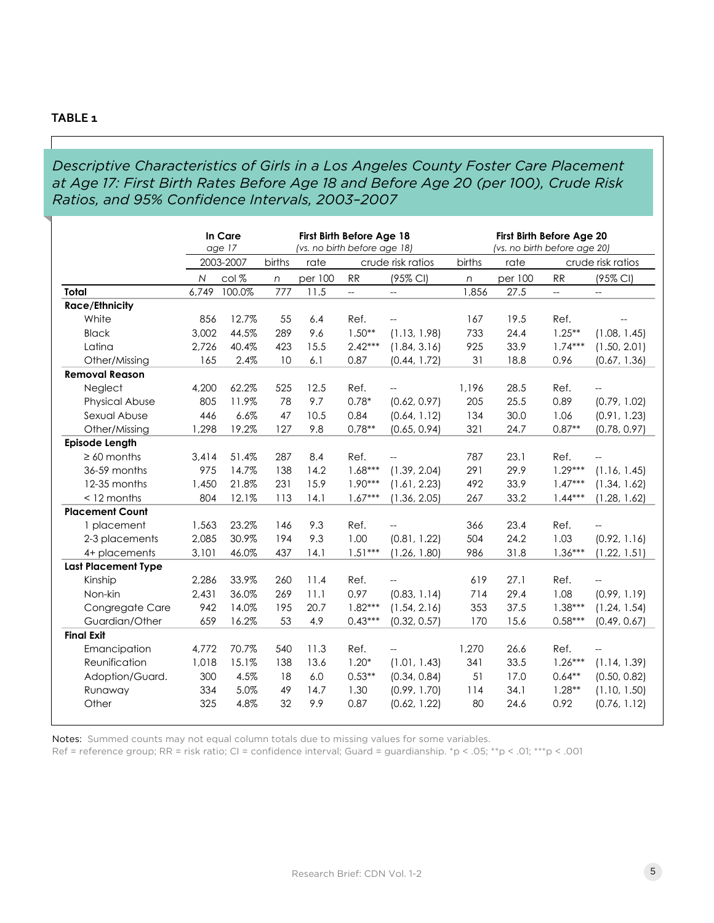### *Descriptive Characteristics of Girls in a Los Angeles County Foster Care Placement at Age 17: First Birth Rates Before Age 18 and Before Age 20 (per 100), Crude Risk Ratios, and 95% Confidence Intervals, 2003–2007*

|                            |              | In Care<br>age 17 | First Birth Before Age 18<br>(vs. no birth before age 18) |         |                          |                          | First Birth Before Age 20<br>(vs. no birth before age 20) |         |           |                          |
|----------------------------|--------------|-------------------|-----------------------------------------------------------|---------|--------------------------|--------------------------|-----------------------------------------------------------|---------|-----------|--------------------------|
|                            |              | 2003-2007         | births                                                    | rate    |                          | crude risk ratios        | births                                                    | rate    |           | crude risk ratios        |
|                            | $\mathsf{N}$ | col%              | $\sqrt{n}$                                                | per 100 | RR                       | (95% CI)                 | $\sqrt{n}$                                                | per 100 | RR        | (95% CI)                 |
| Total                      | 6,749        | 100.0%            | 777                                                       | 11.5    | $\overline{\phantom{a}}$ | $\overline{a}$           | 1,856                                                     | 27.5    | Щ.        | $\overline{\phantom{a}}$ |
| <b>Race/Ethnicity</b>      |              |                   |                                                           |         |                          |                          |                                                           |         |           |                          |
| White                      | 856          | 12.7%             | 55                                                        | 6.4     | Ref.                     | $\overline{\phantom{a}}$ | 167                                                       | 19.5    | Ref.      |                          |
| <b>Black</b>               | 3,002        | 44.5%             | 289                                                       | 9.6     | $1.50**$                 | (1.13, 1.98)             | 733                                                       | 24.4    | $1.25***$ | (1.08, 1.45)             |
| Latina                     | 2,726        | 40.4%             | 423                                                       | 15.5    | $2.42***$                | (1.84, 3.16)             | 925                                                       | 33.9    | $1.74***$ | (1.50, 2.01)             |
| Other/Missing              | 165          | 2.4%              | 10                                                        | 6.1     | 0.87                     | (0.44, 1.72)             | 31                                                        | 18.8    | 0.96      | (0.67, 1.36)             |
| <b>Removal Reason</b>      |              |                   |                                                           |         |                          |                          |                                                           |         |           |                          |
| Neglect                    | 4,200        | 62.2%             | 525                                                       | 12.5    | Ref.                     | $\overline{\phantom{a}}$ | 1,196                                                     | 28.5    | Ref.      | $-$                      |
| <b>Physical Abuse</b>      | 805          | 11.9%             | 78                                                        | 9.7     | $0.78*$                  | (0.62, 0.97)             | 205                                                       | 25.5    | 0.89      | (0.79, 1.02)             |
| Sexual Abuse               | 446          | 6.6%              | 47                                                        | 10.5    | 0.84                     | (0.64, 1.12)             | 134                                                       | 30.0    | 1.06      | (0.91, 1.23)             |
| Other/Missing              | 1,298        | 19.2%             | 127                                                       | 9.8     | $0.78**$                 | (0.65, 0.94)             | 321                                                       | 24.7    | $0.87**$  | (0.78, 0.97)             |
| <b>Episode Length</b>      |              |                   |                                                           |         |                          |                          |                                                           |         |           |                          |
| $\geq 60$ months           | 3.414        | 51.4%             | 287                                                       | 8.4     | Ref.                     |                          | 787                                                       | 23.1    | Ref.      | --                       |
| 36-59 months               | 975          | 14.7%             | 138                                                       | 14.2    | $1.68***$                | (1.39, 2.04)             | 291                                                       | 29.9    | $1.29***$ | (1.16, 1.45)             |
| 12-35 months               | 1,450        | 21.8%             | 231                                                       | 15.9    | $1.90***$                | (1.61, 2.23)             | 492                                                       | 33.9    | $1.47***$ | (1.34, 1.62)             |
| $<$ 12 months              | 804          | 12.1%             | 113                                                       | 14.1    | $1.67***$                | (1.36, 2.05)             | 267                                                       | 33.2    | $1.44***$ | (1.28, 1.62)             |
| <b>Placement Count</b>     |              |                   |                                                           |         |                          |                          |                                                           |         |           |                          |
| 1 placement                | 1,563        | 23.2%             | 146                                                       | 9.3     | Ref.                     |                          | 366                                                       | 23.4    | Ref.      | 44                       |
| 2-3 placements             | 2,085        | 30.9%             | 194                                                       | 9.3     | 1.00                     | (0.81, 1.22)             | 504                                                       | 24.2    | 1.03      | (0.92, 1.16)             |
| 4+ placements              | 3,101        | 46.0%             | 437                                                       | 14.1    | $1.51***$                | (1.26, 1.80)             | 986                                                       | 31.8    | $1.36***$ | (1.22, 1.51)             |
| <b>Last Placement Type</b> |              |                   |                                                           |         |                          |                          |                                                           |         |           |                          |
| Kinship                    | 2,286        | 33.9%             | 260                                                       | 11.4    | Ref.                     |                          | 619                                                       | 27.1    | Ref.      |                          |
| Non-kin                    | 2.431        | 36.0%             | 269                                                       | 11.1    | 0.97                     | (0.83, 1.14)             | 714                                                       | 29.4    | 1.08      | (0.99, 1.19)             |
| Congregate Care            | 942          | 14.0%             | 195                                                       | 20.7    | $1.82***$                | (1.54, 2.16)             | 353                                                       | 37.5    | $1.38***$ | (1.24, 1.54)             |
| Guardian/Other             | 659          | 16.2%             | 53                                                        | 4.9     | $0.43***$                | (0.32, 0.57)             | 170                                                       | 15.6    | $0.58***$ | (0.49, 0.67)             |
| <b>Final Exit</b>          |              |                   |                                                           |         |                          |                          |                                                           |         |           |                          |
| Emancipation               | 4,772        | 70.7%             | 540                                                       | 11.3    | Ref.                     |                          | 1,270                                                     | 26.6    | Ref.      |                          |
| Reunification              | 1,018        | 15.1%             | 138                                                       | 13.6    | $1.20*$                  | (1.01, 1.43)             | 341                                                       | 33.5    | $1.26***$ | (1.14, 1.39)             |
| Adoption/Guard.            | 300          | 4.5%              | 18                                                        | 6.0     | $0.53**$                 | (0.34, 0.84)             | 51                                                        | 17.0    | $0.64**$  | (0.50, 0.82)             |
| Runaway                    | 334          | 5.0%              | 49                                                        | 14.7    | 1.30                     | (0.99, 1.70)             | 114                                                       | 34.1    | $1.28**$  | (1.10, 1.50)             |
| Other                      | 325          | 4.8%              | 32                                                        | 9.9     | 0.87                     | (0.62, 1.22)             | 80                                                        | 24.6    | 0.92      | (0.76, 1.12)             |

Notes: Summed counts may not equal column totals due to missing values for some variables.

Ref = reference group; RR = risk ratio; CI = confidence interval; Guard = guardianship. \*p < .05; \*\*p < .01; \*\*\*p < .001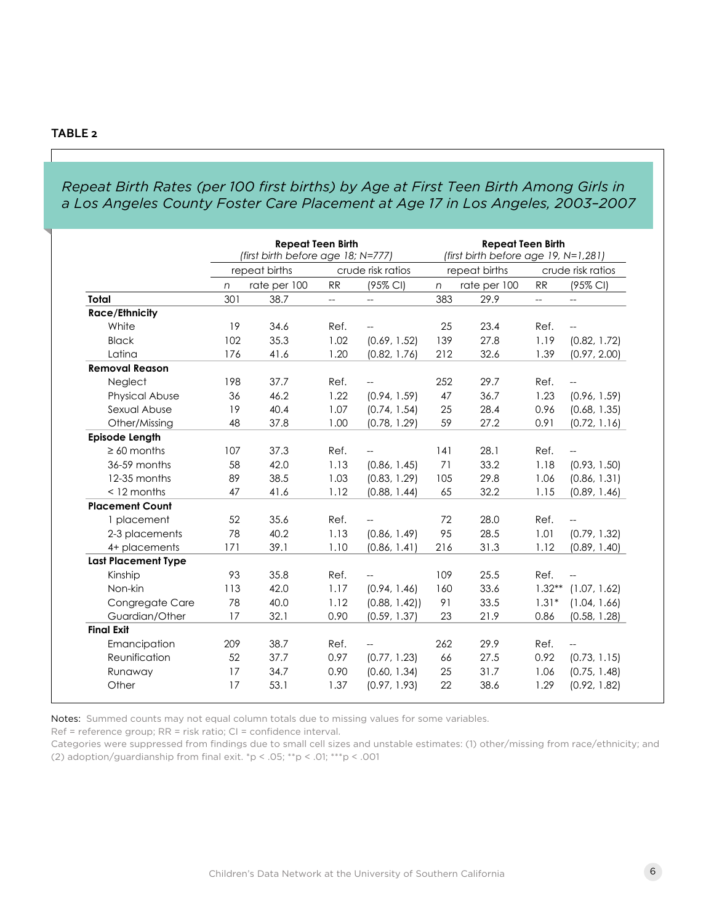### *Repeat Birth Rates (per 100 first births) by Age at First Teen Birth Among Girls in a Los Angeles County Foster Care Placement at Age 17 in Los Angeles, 2003–2007*

|                            |               | <b>Repeat Teen Birth</b><br>(first birth before age 18; N=777) |      |                          | <b>Repeat Teen Birth</b><br>(first birth before age 19, N=1,281) |              |                   |                          |  |
|----------------------------|---------------|----------------------------------------------------------------|------|--------------------------|------------------------------------------------------------------|--------------|-------------------|--------------------------|--|
|                            | repeat births |                                                                |      | crude risk ratios        | repeat births                                                    |              | crude risk ratios |                          |  |
|                            | $\sqrt{n}$    | rate per 100                                                   | RR   | (95% CI)                 | $\sqrt{n}$                                                       | rate per 100 | RR                | (95% CI)                 |  |
| Total                      | 301           | 38.7                                                           | Щ.   | $\overline{\phantom{a}}$ | 383                                                              | 29.9         | <u></u>           | $\overline{\phantom{a}}$ |  |
| <b>Race/Ethnicity</b>      |               |                                                                |      |                          |                                                                  |              |                   |                          |  |
| White                      | 19            | 34.6                                                           | Ref. | $\mathbf{u}$             | 25                                                               | 23.4         | Ref.              | $\overline{\phantom{a}}$ |  |
| <b>Black</b>               | 102           | 35.3                                                           | 1.02 | (0.69, 1.52)             | 139                                                              | 27.8         | 1.19              | (0.82, 1.72)             |  |
| Latina                     | 176           | 41.6                                                           | 1.20 | (0.82, 1.76)             | 212                                                              | 32.6         | 1.39              | (0.97, 2.00)             |  |
| <b>Removal Reason</b>      |               |                                                                |      |                          |                                                                  |              |                   |                          |  |
| Neglect                    | 198           | 37.7                                                           | Ref. |                          | 252                                                              | 29.7         | Ref.              | $-$                      |  |
| Physical Abuse             | 36            | 46.2                                                           | 1.22 | (0.94, 1.59)             | 47                                                               | 36.7         | 1.23              | (0.96, 1.59)             |  |
| Sexual Abuse               | 19            | 40.4                                                           | 1.07 | (0.74, 1.54)             | 25                                                               | 28.4         | 0.96              | (0.68, 1.35)             |  |
| Other/Missing              | 48            | 37.8                                                           | 1.00 | (0.78, 1.29)             | 59                                                               | 27.2         | 0.91              | (0.72, 1.16)             |  |
| <b>Episode Length</b>      |               |                                                                |      |                          |                                                                  |              |                   |                          |  |
| $\geq 60$ months           | 107           | 37.3                                                           | Ref. | $\sim$ $\sim$            | 4                                                                | 28.1         | Ref.              | $\overline{\phantom{a}}$ |  |
| 36-59 months               | 58            | 42.0                                                           | 1.13 | (0.86, 1.45)             | 71                                                               | 33.2         | 1.18              | (0.93, 1.50)             |  |
| 12-35 months               | 89            | 38.5                                                           | 1.03 | (0.83, 1.29)             | 105                                                              | 29.8         | 1.06              | (0.86, 1.31)             |  |
| $<$ 12 months              | 47            | 41.6                                                           | 1.12 | (0.88, 1.44)             | 65                                                               | 32.2         | 1.15              | (0.89, 1.46)             |  |
| <b>Placement Count</b>     |               |                                                                |      |                          |                                                                  |              |                   |                          |  |
| 1 placement                | 52            | 35.6                                                           | Ref. |                          | 72                                                               | 28.0         | Ref.              | $\overline{\phantom{a}}$ |  |
| 2-3 placements             | 78            | 40.2                                                           | 1.13 | (0.86, 1.49)             | 95                                                               | 28.5         | 1.01              | (0.79, 1.32)             |  |
| 4+ placements              | 171           | 39.1                                                           | 1.10 | (0.86, 1.41)             | 216                                                              | 31.3         | 1.12              | (0.89, 1.40)             |  |
| <b>Last Placement Type</b> |               |                                                                |      |                          |                                                                  |              |                   |                          |  |
| Kinship                    | 93            | 35.8                                                           | Ref. |                          | 109                                                              | 25.5         | Ref.              | $-$                      |  |
| Non-kin                    | 113           | 42.0                                                           | 1.17 | (0.94, 1.46)             | 160                                                              | 33.6         | $1.32**$          | (1.07, 1.62)             |  |
| Congregate Care            | 78            | 40.0                                                           | 1.12 | (0.88, 1.42)             | 91                                                               | 33.5         | $1.31*$           | (1.04, 1.66)             |  |
| Guardian/Other             | 17            | 32.1                                                           | 0.90 | (0.59, 1.37)             | 23                                                               | 21.9         | 0.86              | (0.58, 1.28)             |  |
| <b>Final Exit</b>          |               |                                                                |      |                          |                                                                  |              |                   |                          |  |
| Emancipation               | 209           | 38.7                                                           | Ref. |                          | 262                                                              | 29.9         | Ref.              | $\overline{\phantom{a}}$ |  |
| Reunification              | 52            | 37.7                                                           | 0.97 | (0.77, 1.23)             | 66                                                               | 27.5         | 0.92              | (0.73, 1.15)             |  |
| Runaway                    | 17            | 34.7                                                           | 0.90 | (0.60, 1.34)             | 25                                                               | 31.7         | 1.06              | (0.75, 1.48)             |  |
| Other                      | 17            | 53.1                                                           | 1.37 | (0.97, 1.93)             | 22                                                               | 38.6         | 1.29              | (0.92, 1.82)             |  |

Notes: Summed counts may not equal column totals due to missing values for some variables.

Ref = reference group; RR = risk ratio; CI = confidence interval.

Categories were suppressed from findings due to small cell sizes and unstable estimates: (1) other/missing from race/ethnicity; and (2) adoption/guardianship from final exit.  $np < .05$ ;  $*$  $p < .01$ ;  $**$  $p < .001$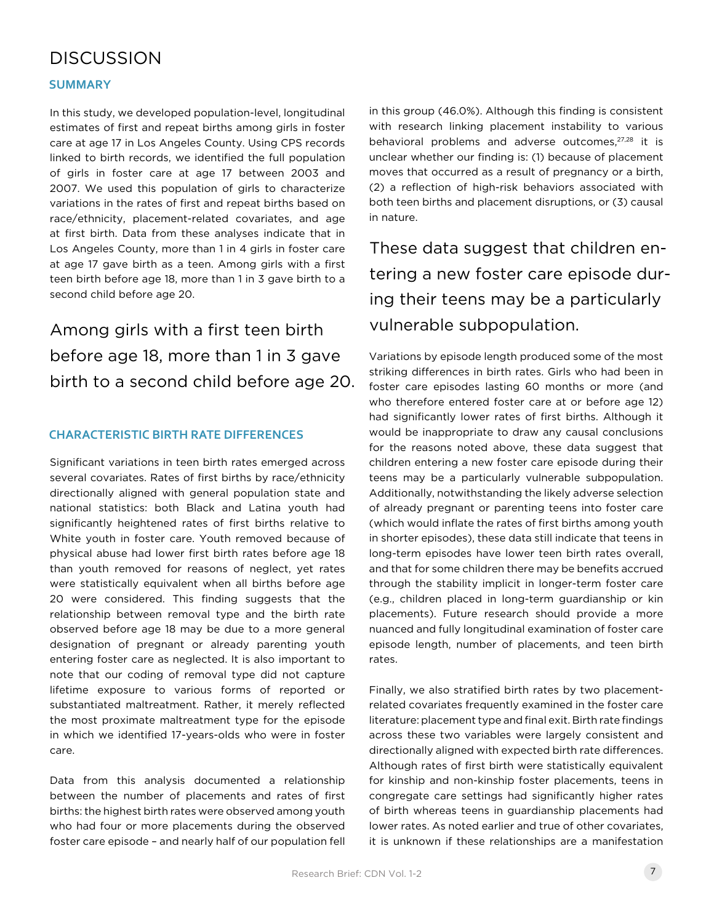# **DISCUSSION**

### **SUMMARY**

In this study, we developed population-level, longitudinal estimates of first and repeat births among girls in foster care at age 17 in Los Angeles County. Using CPS records linked to birth records, we identified the full population of girls in foster care at age 17 between 2003 and 2007. We used this population of girls to characterize variations in the rates of first and repeat births based on race/ethnicity, placement-related covariates, and age at first birth. Data from these analyses indicate that in Los Angeles County, more than 1 in 4 girls in foster care at age 17 gave birth as a teen. Among girls with a first teen birth before age 18, more than 1 in 3 gave birth to a second child before age 20.

Among girls with a first teen birth before age 18, more than 1 in 3 gave birth to a second child before age 20.

### **CHARACTERISTIC BIRTH RATE DIFFERENCES**

Significant variations in teen birth rates emerged across several covariates. Rates of first births by race/ethnicity directionally aligned with general population state and national statistics: both Black and Latina youth had significantly heightened rates of first births relative to White youth in foster care. Youth removed because of physical abuse had lower first birth rates before age 18 than youth removed for reasons of neglect, yet rates were statistically equivalent when all births before age 20 were considered. This finding suggests that the relationship between removal type and the birth rate observed before age 18 may be due to a more general designation of pregnant or already parenting youth entering foster care as neglected. It is also important to note that our coding of removal type did not capture lifetime exposure to various forms of reported or substantiated maltreatment. Rather, it merely reflected the most proximate maltreatment type for the episode in which we identified 17-years-olds who were in foster care.

Data from this analysis documented a relationship between the number of placements and rates of first births: the highest birth rates were observed among youth who had four or more placements during the observed foster care episode – and nearly half of our population fell in this group (46.0%). Although this finding is consistent with research linking placement instability to various behavioral problems and adverse outcomes,<sup>27,28</sup> it is unclear whether our finding is: (1) because of placement moves that occurred as a result of pregnancy or a birth, (2) a reflection of high-risk behaviors associated with both teen births and placement disruptions, or (3) causal in nature.

These data suggest that children entering a new foster care episode during their teens may be a particularly vulnerable subpopulation.

Variations by episode length produced some of the most striking differences in birth rates. Girls who had been in foster care episodes lasting 60 months or more (and who therefore entered foster care at or before age 12) had significantly lower rates of first births. Although it would be inappropriate to draw any causal conclusions for the reasons noted above, these data suggest that children entering a new foster care episode during their teens may be a particularly vulnerable subpopulation. Additionally, notwithstanding the likely adverse selection of already pregnant or parenting teens into foster care (which would inflate the rates of first births among youth in shorter episodes), these data still indicate that teens in long-term episodes have lower teen birth rates overall, and that for some children there may be benefits accrued through the stability implicit in longer-term foster care (e.g., children placed in long-term guardianship or kin placements). Future research should provide a more nuanced and fully longitudinal examination of foster care episode length, number of placements, and teen birth rates.

Finally, we also stratified birth rates by two placementrelated covariates frequently examined in the foster care literature: placement type and final exit. Birth rate findings across these two variables were largely consistent and directionally aligned with expected birth rate differences. Although rates of first birth were statistically equivalent for kinship and non-kinship foster placements, teens in congregate care settings had significantly higher rates of birth whereas teens in guardianship placements had lower rates. As noted earlier and true of other covariates, it is unknown if these relationships are a manifestation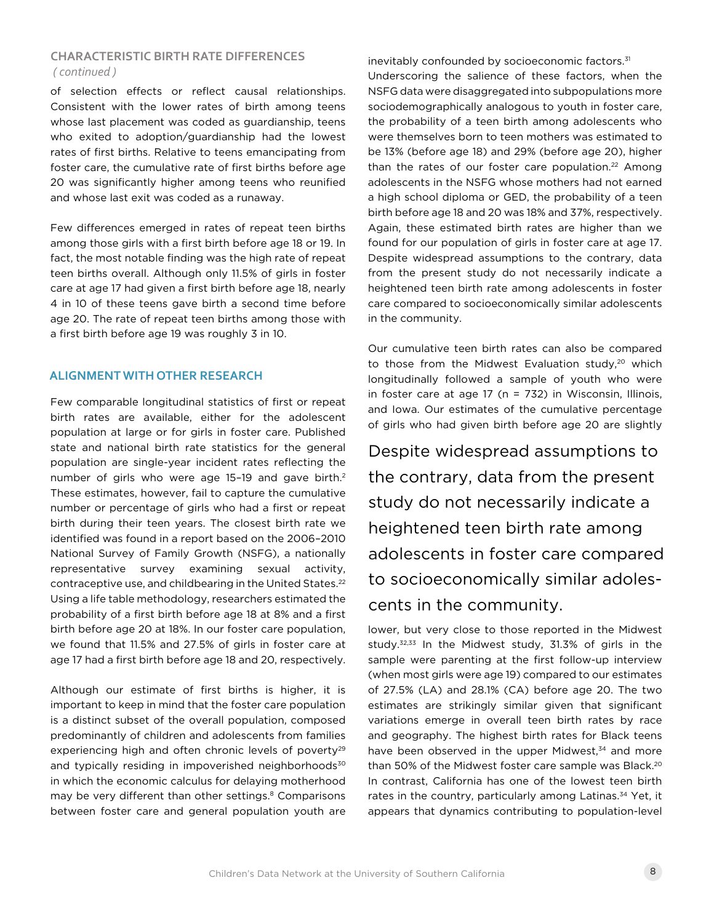### **CHARACTERISTIC BIRTH RATE DIFFERENCES** *( continued )*

of selection effects or reflect causal relationships. Consistent with the lower rates of birth among teens whose last placement was coded as guardianship, teens who exited to adoption/guardianship had the lowest rates of first births. Relative to teens emancipating from foster care, the cumulative rate of first births before age 20 was significantly higher among teens who reunified and whose last exit was coded as a runaway.

Few differences emerged in rates of repeat teen births among those girls with a first birth before age 18 or 19. In fact, the most notable finding was the high rate of repeat teen births overall. Although only 11.5% of girls in foster care at age 17 had given a first birth before age 18, nearly 4 in 10 of these teens gave birth a second time before age 20. The rate of repeat teen births among those with a first birth before age 19 was roughly 3 in 10.

### **ALIGNMENT WITH OTHER RESEARCH**

Few comparable longitudinal statistics of first or repeat birth rates are available, either for the adolescent population at large or for girls in foster care. Published state and national birth rate statistics for the general population are single-year incident rates reflecting the number of girls who were age 15-19 and gave birth.<sup>2</sup> These estimates, however, fail to capture the cumulative number or percentage of girls who had a first or repeat birth during their teen years. The closest birth rate we identified was found in a report based on the 2006–2010 National Survey of Family Growth (NSFG), a nationally representative survey examining sexual activity, contraceptive use, and childbearing in the United States.<sup>22</sup> Using a life table methodology, researchers estimated the probability of a first birth before age 18 at 8% and a first birth before age 20 at 18%. In our foster care population, we found that 11.5% and 27.5% of girls in foster care at age 17 had a first birth before age 18 and 20, respectively.

Although our estimate of first births is higher, it is important to keep in mind that the foster care population is a distinct subset of the overall population, composed predominantly of children and adolescents from families experiencing high and often chronic levels of poverty<sup>29</sup> and typically residing in impoverished neighborhoods<sup>30</sup> in which the economic calculus for delaying motherhood may be very different than other settings.<sup>8</sup> Comparisons between foster care and general population youth are

inevitably confounded by socioeconomic factors.<sup>31</sup> Underscoring the salience of these factors, when the NSFG data were disaggregated into subpopulations more sociodemographically analogous to youth in foster care, the probability of a teen birth among adolescents who were themselves born to teen mothers was estimated to be 13% (before age 18) and 29% (before age 20), higher than the rates of our foster care population.<sup>22</sup> Among adolescents in the NSFG whose mothers had not earned a high school diploma or GED, the probability of a teen birth before age 18 and 20 was 18% and 37%, respectively. Again, these estimated birth rates are higher than we found for our population of girls in foster care at age 17. Despite widespread assumptions to the contrary, data from the present study do not necessarily indicate a heightened teen birth rate among adolescents in foster care compared to socioeconomically similar adolescents in the community.

Our cumulative teen birth rates can also be compared to those from the Midwest Evaluation study,<sup>20</sup> which longitudinally followed a sample of youth who were in foster care at age  $17$  (n = 732) in Wisconsin, Illinois, and Iowa. Our estimates of the cumulative percentage of girls who had given birth before age 20 are slightly

Despite widespread assumptions to the contrary, data from the present study do not necessarily indicate a heightened teen birth rate among adolescents in foster care compared to socioeconomically similar adolescents in the community.

lower, but very close to those reported in the Midwest study.32,33 In the Midwest study, 31.3% of girls in the sample were parenting at the first follow-up interview (when most girls were age 19) compared to our estimates of 27.5% (LA) and 28.1% (CA) before age 20. The two estimates are strikingly similar given that significant variations emerge in overall teen birth rates by race and geography. The highest birth rates for Black teens have been observed in the upper Midwest,<sup>34</sup> and more than 50% of the Midwest foster care sample was Black.<sup>20</sup> In contrast, California has one of the lowest teen birth rates in the country, particularly among Latinas.<sup>34</sup> Yet, it appears that dynamics contributing to population-level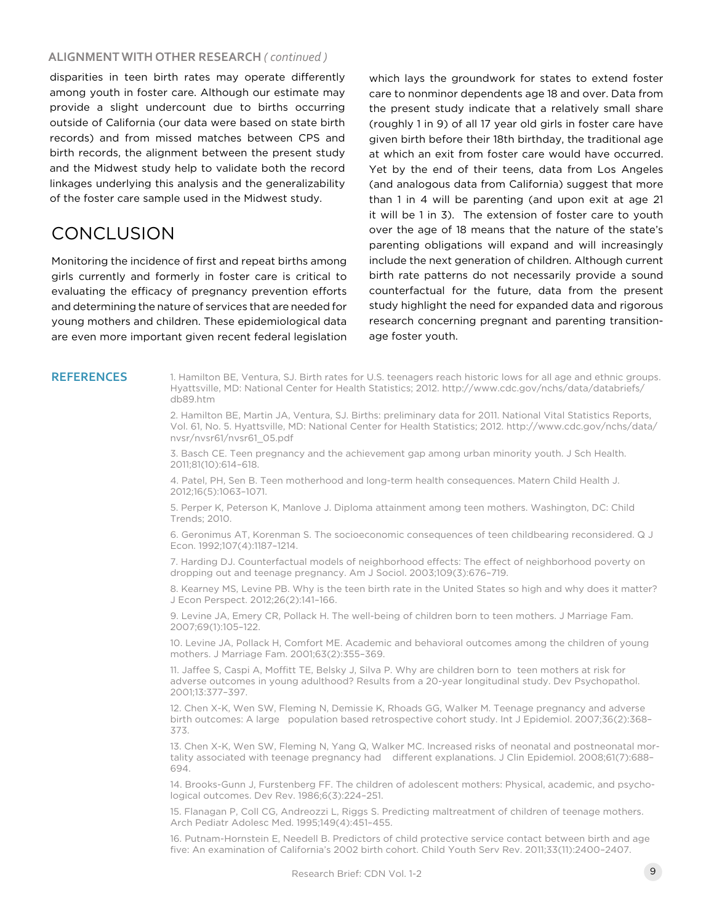### **ALIGNMENT WITH OTHER RESEARCH** *( continued )*

disparities in teen birth rates may operate differently among youth in foster care. Although our estimate may provide a slight undercount due to births occurring outside of California (our data were based on state birth records) and from missed matches between CPS and birth records, the alignment between the present study and the Midwest study help to validate both the record linkages underlying this analysis and the generalizability of the foster care sample used in the Midwest study.

# **CONCLUSION**

Monitoring the incidence of first and repeat births among girls currently and formerly in foster care is critical to evaluating the efficacy of pregnancy prevention efforts and determining the nature of services that are needed for young mothers and children. These epidemiological data are even more important given recent federal legislation which lays the groundwork for states to extend foster care to nonminor dependents age 18 and over. Data from the present study indicate that a relatively small share (roughly 1 in 9) of all 17 year old girls in foster care have given birth before their 18th birthday, the traditional age at which an exit from foster care would have occurred. Yet by the end of their teens, data from Los Angeles (and analogous data from California) suggest that more than 1 in 4 will be parenting (and upon exit at age 21 it will be 1 in 3). The extension of foster care to youth over the age of 18 means that the nature of the state's parenting obligations will expand and will increasingly include the next generation of children. Although current birth rate patterns do not necessarily provide a sound counterfactual for the future, data from the present study highlight the need for expanded data and rigorous research concerning pregnant and parenting transitionage foster youth.

REFERENCES 1. Hamilton BE, Ventura, SJ. Birth rates for U.S. teenagers reach historic lows for all age and ethnic groups. Hyattsville, MD: National Center for Health Statistics; 2012. http://www.cdc.gov/nchs/data/databriefs/ db89.htm

> 2. Hamilton BE, Martin JA, Ventura, SJ. Births: preliminary data for 2011. National Vital Statistics Reports, Vol. 61, No. 5. Hyattsville, MD: National Center for Health Statistics; 2012. http://www.cdc.gov/nchs/data/ nvsr/nvsr61/nvsr61\_05.pdf

3. Basch CE. Teen pregnancy and the achievement gap among urban minority youth. J Sch Health. 2011;81(10):614–618.

4. Patel, PH, Sen B. Teen motherhood and long-term health consequences. Matern Child Health J. 2012;16(5):1063–1071.

5. Perper K, Peterson K, Manlove J. Diploma attainment among teen mothers. Washington, DC: Child Trends; 2010.

6. Geronimus AT, Korenman S. The socioeconomic consequences of teen childbearing reconsidered. Q J Econ. 1992;107(4):1187–1214.

7. Harding DJ. Counterfactual models of neighborhood effects: The effect of neighborhood poverty on dropping out and teenage pregnancy. Am J Sociol. 2003;109(3):676–719.

8. Kearney MS, Levine PB. Why is the teen birth rate in the United States so high and why does it matter? J Econ Perspect. 2012;26(2):141–166.

9. Levine JA, Emery CR, Pollack H. The well-being of children born to teen mothers. J Marriage Fam. 2007;69(1):105–122.

10. Levine JA, Pollack H, Comfort ME. Academic and behavioral outcomes among the children of young mothers. J Marriage Fam. 2001;63(2):355–369.

11. Jaffee S, Caspi A, Moffitt TE, Belsky J, Silva P. Why are children born to teen mothers at risk for adverse outcomes in young adulthood? Results from a 20-year longitudinal study. Dev Psychopathol. 2001;13:377–397.

12. Chen X-K, Wen SW, Fleming N, Demissie K, Rhoads GG, Walker M. Teenage pregnancy and adverse birth outcomes: A large population based retrospective cohort study. Int J Epidemiol. 2007;36(2):368– 373.

13. Chen X-K, Wen SW, Fleming N, Yang Q, Walker MC. Increased risks of neonatal and postneonatal mortality associated with teenage pregnancy had different explanations. J Clin Epidemiol. 2008;61(7):688– 694.

14. Brooks-Gunn J, Furstenberg FF. The children of adolescent mothers: Physical, academic, and psychological outcomes. Dev Rev. 1986;6(3):224–251.

15. Flanagan P, Coll CG, Andreozzi L, Riggs S. Predicting maltreatment of children of teenage mothers. Arch Pediatr Adolesc Med. 1995;149(4):451–455.

16. Putnam-Hornstein E, Needell B. Predictors of child protective service contact between birth and age five: An examination of California's 2002 birth cohort. Child Youth Serv Rev. 2011;33(11):2400–2407.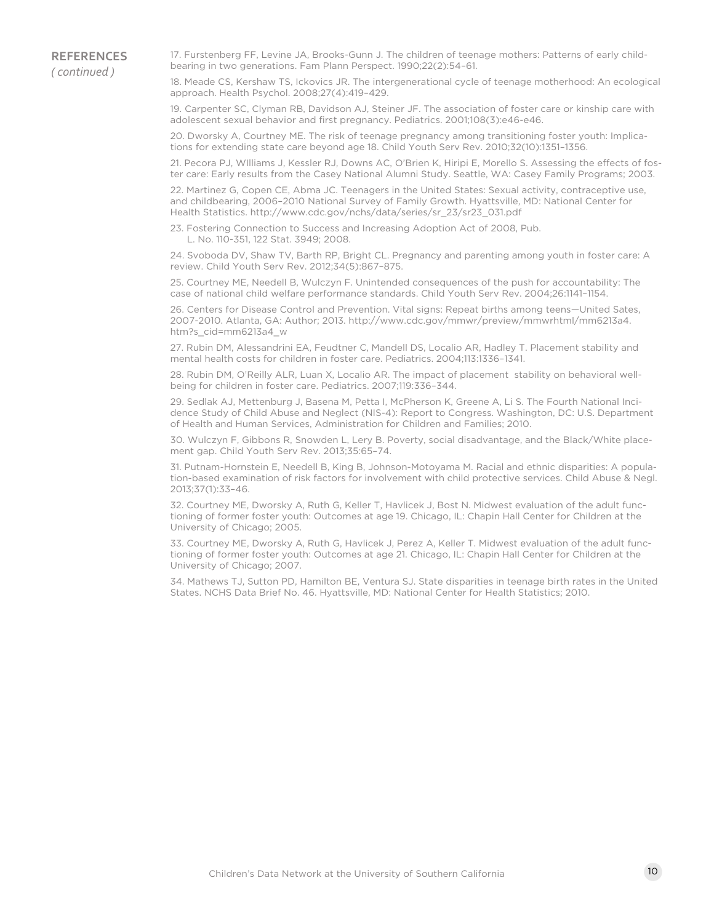17. Furstenberg FF, Levine JA, Brooks-Gunn J. The children of teenage mothers: Patterns of early childbearing in two generations. Fam Plann Perspect. 1990;22(2):54–61.

18. Meade CS, Kershaw TS, Ickovics JR. The intergenerational cycle of teenage motherhood: An ecological approach. Health Psychol. 2008;27(4):419–429.

19. Carpenter SC, Clyman RB, Davidson AJ, Steiner JF. The association of foster care or kinship care with adolescent sexual behavior and first pregnancy. Pediatrics. 2001;108(3):e46-e46.

20. Dworsky A, Courtney ME. The risk of teenage pregnancy among transitioning foster youth: Implications for extending state care beyond age 18. Child Youth Serv Rev. 2010;32(10):1351–1356.

21. Pecora PJ, WIlliams J, Kessler RJ, Downs AC, O'Brien K, Hiripi E, Morello S. Assessing the effects of foster care: Early results from the Casey National Alumni Study. Seattle, WA: Casey Family Programs; 2003.

22. Martinez G, Copen CE, Abma JC. Teenagers in the United States: Sexual activity, contraceptive use, and childbearing, 2006–2010 National Survey of Family Growth. Hyattsville, MD: National Center for Health Statistics. http://www.cdc.gov/nchs/data/series/sr\_23/sr23\_031.pdf

23. Fostering Connection to Success and Increasing Adoption Act of 2008, Pub. L. No. 110-351, 122 Stat. 3949; 2008.

24. Svoboda DV, Shaw TV, Barth RP, Bright CL. Pregnancy and parenting among youth in foster care: A review. Child Youth Serv Rev. 2012;34(5):867–875.

25. Courtney ME, Needell B, Wulczyn F. Unintended consequences of the push for accountability: The case of national child welfare performance standards. Child Youth Serv Rev. 2004;26:1141–1154.

26. Centers for Disease Control and Prevention. Vital signs: Repeat births among teens—United Sates, 2007-2010. Atlanta, GA: Author; 2013. http://www.cdc.gov/mmwr/preview/mmwrhtml/mm6213a4. htm?s\_cid=mm6213a4\_w

27. Rubin DM, Alessandrini EA, Feudtner C, Mandell DS, Localio AR, Hadley T. Placement stability and mental health costs for children in foster care. Pediatrics. 2004;113:1336–1341.

28. Rubin DM, O'Reilly ALR, Luan X, Localio AR. The impact of placement stability on behavioral wellbeing for children in foster care. Pediatrics. 2007;119:336–344.

29. Sedlak AJ, Mettenburg J, Basena M, Petta I, McPherson K, Greene A, Li S. The Fourth National Incidence Study of Child Abuse and Neglect (NIS-4): Report to Congress. Washington, DC: U.S. Department of Health and Human Services, Administration for Children and Families; 2010.

30. Wulczyn F, Gibbons R, Snowden L, Lery B. Poverty, social disadvantage, and the Black/White placement gap. Child Youth Serv Rev. 2013;35:65–74.

31. Putnam-Hornstein E, Needell B, King B, Johnson-Motoyama M. Racial and ethnic disparities: A population-based examination of risk factors for involvement with child protective services. Child Abuse & Negl. 2013;37(1):33–46.

32. Courtney ME, Dworsky A, Ruth G, Keller T, Havlicek J, Bost N. Midwest evaluation of the adult functioning of former foster youth: Outcomes at age 19. Chicago, IL: Chapin Hall Center for Children at the University of Chicago; 2005.

33. Courtney ME, Dworsky A, Ruth G, Havlicek J, Perez A, Keller T. Midwest evaluation of the adult functioning of former foster youth: Outcomes at age 21. Chicago, IL: Chapin Hall Center for Children at the University of Chicago; 2007.

34. Mathews TJ, Sutton PD, Hamilton BE, Ventura SJ. State disparities in teenage birth rates in the United States. NCHS Data Brief No. 46. Hyattsville, MD: National Center for Health Statistics; 2010.